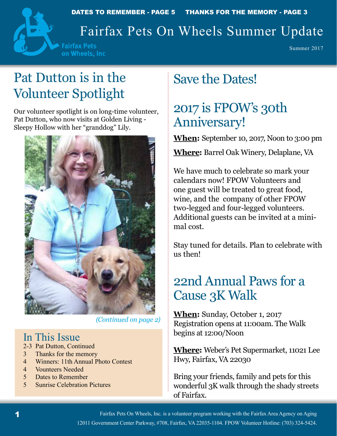



## Fairfax Pets On Wheels Summer Update

**Fairfax Pets** on Wheels, Inc

Summer 2017

# Pat Dutton is in the Volunteer Spotlight

Our volunteer spotlight is on long-time volunteer, Pat Dutton, who now visits at Golden Living - Sleepy Hollow with her "granddog" Lily.



*(Continued on page 2)*

## In This Issue

- 2-3 Pat Dutton, Continued
- 3 Thanks for the memory
- 4 Winners: 11th Annual Photo Contest
- 4 Vounteers Needed
- 5 Dates to Remember
- 5 Sunrise Celebration Pictures

# Save the Dates!

## 2017 is FPOW's 30th Anniversary!

**When:** September 10, 2017, Noon to 3:00 pm

**Where:** Barrel Oak Winery, Delaplane, VA

We have much to celebrate so mark your calendars now! FPOW Volunteers and one guest will be treated to great food, wine, and the company of other FPOW two-legged and four-legged volunteers. Additional guests can be invited at a minimal cost.

Stay tuned for details. Plan to celebrate with us then!

## 22nd Annual Paws for a Cause 3K Walk

**When:** Sunday, October 1, 2017 Registration opens at 11:00am. The Walk begins at 12:00/Noon

**Where:** Weber's Pet Supermarket, 11021 Lee Hwy, Fairfax, VA 22030

Bring your friends, family and pets for this wonderful 3K walk through the shady streets of Fairfax.

Fairfax Pets On Wheels, Inc. is a volunteer program working with the Fairfax Area Agency on Aging 12011 Government Center Parkway, #708, Fairfax, VA 22035-1104. FPOW Volunteer Hotline: (703) 324-5424.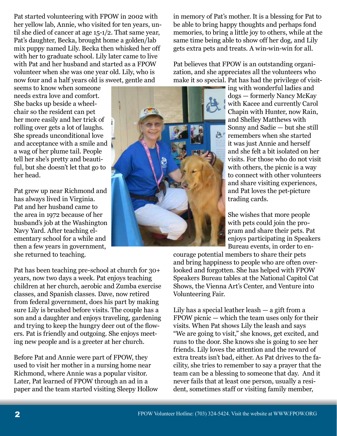Pat started volunteering with FPOW in 2002 with her yellow lab, Annie, who visited for ten years, until she died of cancer at age 15-1/2. That same year, Pat's daughter, Becka, brought home a golden/lab mix puppy named Lily. Becka then whisked her off with her to graduate school. Lily later came to live with Pat and her husband and started as a FPOW volunteer when she was one year old. Lily, who is now four and a half years old is sweet, gentle and

seems to know when someone needs extra love and comfort. She backs up beside a wheelchair so the resident can pet her more easily and her trick of rolling over gets a lot of laughs. She spreads unconditional love and acceptance with a smile and a wag of her plume tail. People tell her she's pretty and beautiful, but she doesn't let that go to her head.

Pat grew up near Richmond and has always lived in Virginia. Pat and her husband came to the area in 1972 because of her husband's job at the Washington Navy Yard. After teaching elementary school for a while and then a few years in government, she returned to teaching.

Pat has been teaching pre-school at church for 30+ years, now two days a week. Pat enjoys teaching children at her church, aerobic and Zumba exercise classes, and Spanish classes. Dave, now retired from federal government, does his part by making sure Lily is brushed before visits. The couple has a son and a daughter and enjoys traveling, gardening and trying to keep the hungry deer out of the flowers. Pat is friendly and outgoing. She enjoys meeting new people and is a greeter at her church.

Before Pat and Annie were part of FPOW, they used to visit her mother in a nursing home near Richmond, where Annie was a popular visitor. Later, Pat learned of FPOW through an ad in a paper and the team started visiting Sleepy Hollow

in memory of Pat's mother. It is a blessing for Pat to be able to bring happy thoughts and perhaps fond memories, to bring a little joy to others, while at the same time being able to show off her dog, and Lily gets extra pets and treats. A win-win-win for all.

Pat believes that FPOW is an outstanding organization, and she appreciates all the volunteers who make it so special. Pat has had the privilege of visit-



She wishes that more people with pets could join the program and share their pets. Pat enjoys participating in Speakers Bureau events, in order to en-

courage potential members to share their pets and bring happiness to people who are often overlooked and forgotten. She has helped with FPOW Speakers Bureau tables at the National Capitol Cat Shows, the Vienna Art's Center, and Venture into Volunteering Fair.

Lily has a special leather leash  $-$  a gift from a FPOW picnic — which the team uses only for their visits. When Pat shows Lily the leash and says "We are going to visit," she knows, get excited, and runs to the door. She knows she is going to see her friends. Lily loves the attention and the reward of extra treats isn't bad, either. As Pat drives to the facility, she tries to remember to say a prayer that the team can be a blessing to someone that day. And it never fails that at least one person, usually a resident, sometimes staff or visiting family member,

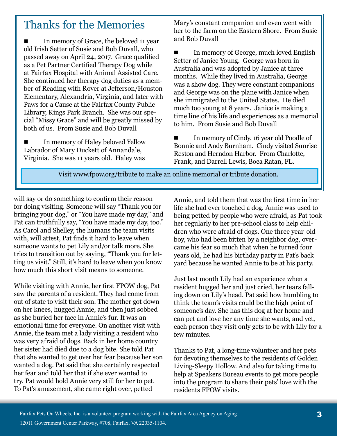## Thanks for the Memories

 In memory of Grace, the beloved 11 year old Irish Setter of Susie and Bob Duvall, who passed away on April 24, 2017. Grace qualified as a Pet Partner Certified Therapy Dog while at Fairfax Hospital with Animal Assisted Care. She continued her therapy dog duties as a member of Reading with Rover at Jefferson/Houston Elementary, Alexandria, Virginia, and later with Paws for a Cause at the Fairfax County Public Library, Kings Park Branch. She was our special "Missy Grace" and will be greatly missed by both of us. From Susie and Bob Duvall

 In memory of Haley beloved Yellow Labrador of Mary Duckett of Annandale, Virginia. She was 11 years old. Haley was

Mary's constant companion and even went with her to the farm on the Eastern Shore. From Susie and Bob Duvall

■ In memory of George, much loved English Setter of Janice Young. George was born in Australia and was adopted by Janice at three months. While they lived in Australia, George was a show dog. They were constant companions and George was on the plane with Janice when she immigrated to the United States. He died much too young at 8 years. Janice is making a time line of his life and experiences as a memorial to him. From Susie and Bob Duvall

 In memory of Cindy, 16 year old Poodle of Bonnie and Andy Burnham. Cindy visited Sunrise Reston and Herndon Harbor. From Charlotte, Frank, and Darrell Lewis, Boca Ratan, FL.

Visit www.fpow.org/tribute to make an online memorial or tribute donation.

will say or do something to confirm their reason for doing visiting. Someone will say "Thank you for bringing your dog," or "You have made my day," and Pat can truthfully say, "You have made my day, too." As Carol and Shelley, the humans the team visits with, will attest, Pat finds it hard to leave when someone wants to pet Lily and/or talk more. She tries to transition out by saying, "Thank you for letting us visit." Still, it's hard to leave when you know how much this short visit means to someone.

While visiting with Annie, her first FPOW dog, Pat saw the parents of a resident. They had come from out of state to visit their son. The mother got down on her knees, hugged Annie, and then just sobbed as she buried her face in Annie's fur. It was an emotional time for everyone. On another visit with Annie, the team met a lady visiting a resident who was very afraid of dogs. Back in her home country her sister had died due to a dog bite. She told Pat that she wanted to get over her fear because her son wanted a dog. Pat said that she certainly respected her fear and told her that if she ever wanted to try, Pat would hold Annie very still for her to pet. To Pat's amazement, she came right over, petted

Annie, and told them that was the first time in her life she had ever touched a dog. Annie was used to being petted by people who were afraid, as Pat took her regularly to her pre-school class to help children who were afraid of dogs. One three year-old boy, who had been bitten by a neighbor dog, overcame his fear so much that when he turned four years old, he had his birthday party in Pat's back yard because he wanted Annie to be at his party.

Just last month Lily had an experience when a resident hugged her and just cried, her tears falling down on Lily's head. Pat said how humbling to think the team's visits could be the high point of someone's day. She has this dog at her home and can pet and love her any time she wants, and yet, each person they visit only gets to be with Lily for a few minutes.

Thanks to Pat, a long-time volunteer and her pets for devoting themselves to the residents of Golden Living-Sleepy Hollow. And also for taking time to help at Speakers Bureau events to get more people into the program to share their pets' love with the residents FPOW visits.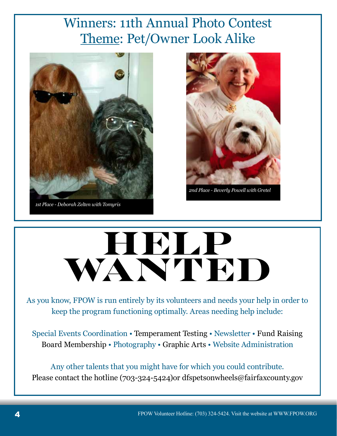## Winners: 11th Annual Photo Contest Theme: Pet/Owner Look Alike



*1st Place - Deborah Zelten with Tomyris* 



*2nd Place - Beverly Powell with Gretel*

# **HELP**  WANTED

As you know, FPOW is run entirely by its volunteers and needs your help in order to keep the program functioning optimally. Areas needing help include:

Special Events Coordination • Temperament Testing • Newsletter • Fund Raising Board Membership • Photography • Graphic Arts • Website Administration

Any other talents that you might have for which you could contribute. Please contact the hotline (703-324-5424)or dfspetsonwheels@fairfaxcounty.gov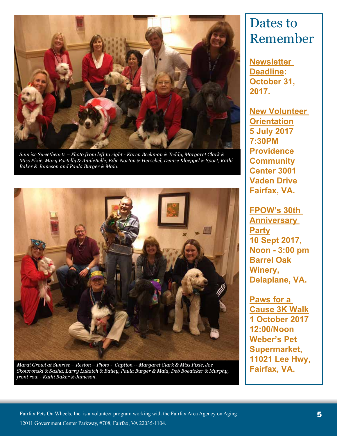

*Sunrise Sweethearts – Photo from left to right - Karen Beekman & Teddy, Margaret Clark & Miss Pixie, Mary Portelly & AnnieBelle, Edie Norton & Herschel, Denise Kloeppel & Sport, Kathi Baker & Jameson and Paula Burger & Maia.*



*Mardi Growl at Sunrise – Reston – Photo - Caption -- Margaret Clark & Miss Pixie, Joe Skowronski & Sasha, Larry Lukatch & Bailey, Paula Burger & Maia, Deb Boedicker & Murphy, front row - Kathi Baker & Jameson.* 

## Dates to Remember

**Newsletter Deadline: October 31, 2017.**

**New Volunteer Orientation 5 July 2017 7:30PM Providence Community Center 3001 Vaden Drive Fairfax, VA.**

**FPOW's 30th Anniversary Party 10 Sept 2017, Noon - 3:00 pm Barrel Oak Winery, Delaplane, VA.**

**Paws for a Cause 3K Walk 1 October 2017 12:00/Noon Weber's Pet Supermarket, 11021 Lee Hwy, Fairfax, VA.**